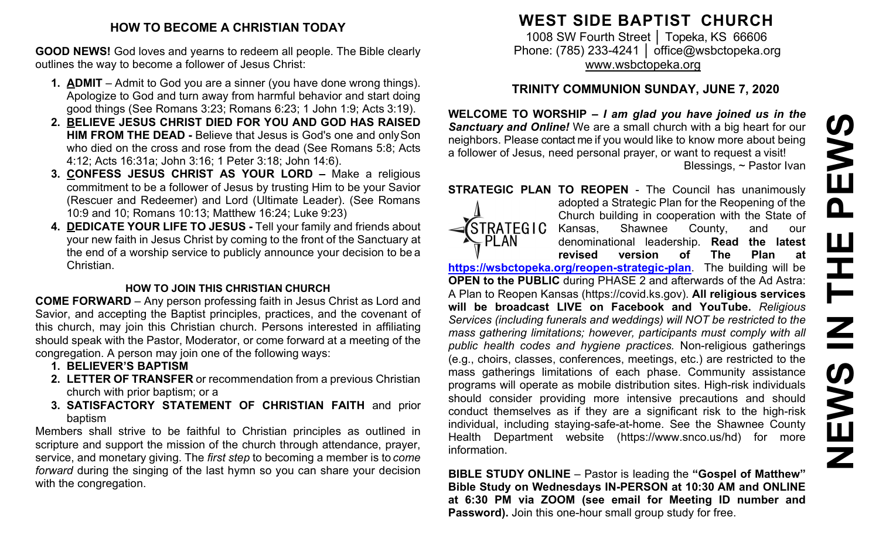#### **HOW TO BECOME A CHRISTIAN TODAY**

**GOOD NEWS!** God loves and yearns to redeem all people. The Bible clearly outlines the way to become a follower of Jesus Christ:

- **1. ADMIT**  Admit to God you are a sinner (you have done wrong things). Apologize to God and turn away from harmful behavior and start doing good things (See Romans 3:23; Romans 6:23; 1 John 1:9; Acts 3:19).
- **2. BELIEVE JESUS CHRIST DIED FOR YOU AND GOD HAS RAISED HIM FROM THE DEAD -** Believe that Jesus is God's one and onlySon who died on the cross and rose from the dead (See Romans 5:8; Acts 4:12; Acts 16:31a; John 3:16; 1 Peter 3:18; John 14:6).
- **3. CONFESS JESUS CHRIST AS YOUR LORD –** Make a religious commitment to be a follower of Jesus by trusting Him to be your Savior (Rescuer and Redeemer) and Lord (Ultimate Leader). (See Romans 10:9 and 10; Romans 10:13; Matthew 16:24; Luke 9:23)
- **4. DEDICATE YOUR LIFE TO JESUS -** Tell your family and friends about your new faith in Jesus Christ by coming to the front of the Sanctuary at the end of a worship service to publicly announce your decision to be a Christian.

## **HOW TO JOIN THIS CHRISTIAN CHURCH**

**COME FORWARD** – Any person professing faith in Jesus Christ as Lord and Savior, and accepting the Baptist principles, practices, and the covenant of this church, may join this Christian church. Persons interested in affiliating should speak with the Pastor, Moderator, or come forward at a meeting of the congregation. A person may join one of the following ways:

- **1. BELIEVER'S BAPTISM**
- **2. LETTER OF TRANSFER** or recommendation from a previous Christian church with prior baptism; or a
- **3. SATISFACTORY STATEMENT OF CHRISTIAN FAITH** and prior baptism

Members shall strive to be faithful to Christian principles as outlined in scripture and support the mission of the church through attendance, prayer, service, and monetary giving. The *first step* to becoming a member is to *come forward* during the singing of the last hymn so you can share your decision with the congregation.

# **WEST SIDE BAPTIST CHURCH**

1008 SW Fourth Street | Topeka, KS 66606 Phone: (785) 233-4241 │ [office@wsbctopeka.org](mailto:office@wsbctopeka.org) [www.wsbctopeka.org](http://www.wsbctopeka.org/)

# **TRINITY COMMUNION SUNDAY, JUNE 7, 2020**

**WELCOME TO WORSHIP –** *I am glad you have joined us in the Sanctuary and Online!* We are a small church with a big heart for our neighbors. Please contact me if you would like to know more about being a follower of Jesus, need personal prayer, or want to request a visit! Blessings, ~ Pastor Ivan

**STRATEGIC PLAN TO REOPEN - The Council has unanimously** 



adopted a Strategic Plan for the Reopening of the Church building in cooperation with the State of Kansas, Shawnee County, and our denominational leadership. **Read the latest revised version of The Plan at**

**<https://wsbctopeka.org/reopen-strategic-plan>**. The building will be **OPEN to the PUBLIC** during PHASE 2 and afterwards of the Ad Astra: A Plan to Reopen Kansas (https://covid.ks.gov). **All religious services will be broadcast LIVE on Facebook and YouTube.** *Religious Services (including funerals and weddings) will NOT be restricted to the mass gathering limitations; however, participants must comply with all public health codes and hygiene practices.* Non-religious gatherings (e.g., choirs, classes, conferences, meetings, etc.) are restricted to the mass gatherings limitations of each phase. Community assistance programs will operate as mobile distribution sites. High-risk individuals should consider providing more intensive precautions and should conduct themselves as if they are a significant risk to the high-risk individual, including staying-safe-at-home. See the Shawnee County Health Department website (https://www.snco.us/hd) for more information.

**BIBLE STUDY ONLINE** – Pastor is leading the **"Gospel of Matthew" Bible Study on Wednesdays IN-PERSON at 10:30 AM and ONLINE at 6:30 PM via ZOOM (see email for Meeting ID number and Password).** Join this one-hour small group study for free.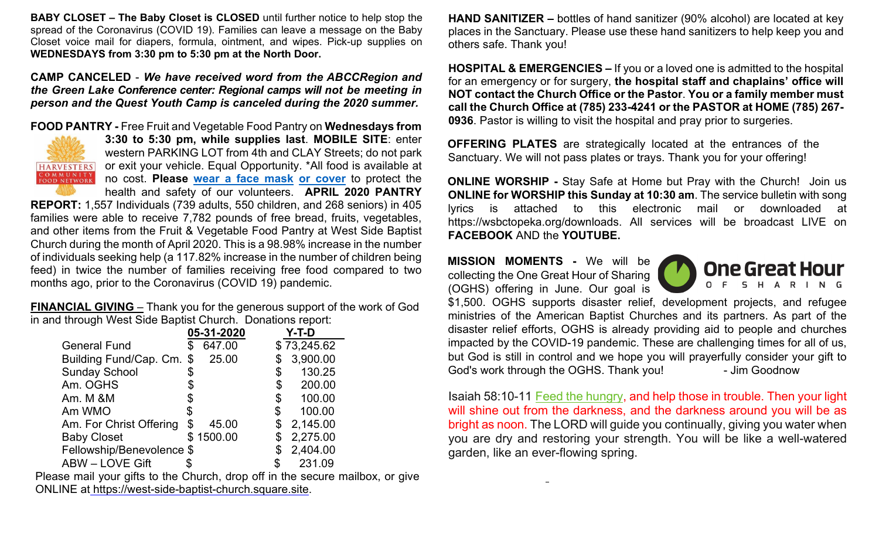**BABY CLOSET – The Baby Closet is CLOSED** until further notice to help stop the spread of the Coronavirus (COVID 19). Families can leave a message on the Baby Closet voice mail for diapers, formula, ointment, and wipes. Pick-up supplies on **WEDNESDAYS from 3:30 pm to 5:30 pm at the North Door.**

**CAMP CANCELED** - *We have received word from the ABCCRegion and the Green Lake Conference center: Regional camps will not be meeting in person and the Quest Youth Camp is canceled during the 2020 summer.* 

**FOOD PANTRY -** Free Fruit and Vegetable Food Pantry on **Wednesdays from** 



**3:30 to 5:30 pm, while supplies last**. **MOBILE SITE**: enter western PARKING LOT from 4th and CLAY Streets; do not park or exit your vehicle. Equal Opportunity. \*All food is available at no cost. **Please [wear a face mask](https://www.cdc.gov/coronavirus/2019-ncov/prevent-getting-sick/diy-cloth-face-coverings.html) [or cover](https://www.cdc.gov/coronavirus/2019-ncov/prevent-getting-sick/diy-cloth-face-coverings.html)** to protect the health and safety of our volunteers. **APRIL 2020 PANTRY** 

**REPORT:** 1,557 Individuals (739 adults, 550 children, and 268 seniors) in 405 families were able to receive 7,782 pounds of free bread, fruits, vegetables, and other items from the Fruit & Vegetable Food Pantry at West Side Baptist Church during the month of April 2020. This is a 98.98% increase in the number of individuals seeking help (a 117.82% increase in the number of children being feed) in twice the number of families receiving free food compared to two months ago, prior to the Coronavirus (COVID 19) pandemic.

**FINANCIAL GIVING** – Thank you for the generous support of the work of God in and through West Side Baptist Church. Donations report:

|                           | 05-31-2020  | Y-T-D          |
|---------------------------|-------------|----------------|
| <b>General Fund</b>       | 647.00      | \$73,245.62    |
| Building Fund/Cap. Cm. \$ | 25.00       | \$<br>3,900.00 |
| <b>Sunday School</b>      | \$          | \$<br>130.25   |
| Am. OGHS                  |             | \$<br>200.00   |
| Am. M &M                  | \$          | \$<br>100.00   |
| Am WMO                    | \$          | \$<br>100.00   |
| Am. For Christ Offering   | \$<br>45.00 | \$<br>2,145.00 |
| <b>Baby Closet</b>        | \$1500.00   | \$<br>2,275.00 |
| Fellowship/Benevolence \$ |             | \$<br>2,404.00 |
| <b>ABW - LOVE Gift</b>    |             | 231.09         |

Please mail your gifts to the Church, drop off in the secure mailbox, or give ONLINE at [https://west-side-baptist-church.square.site.](https://west-side-baptist-church.square.site/)

**HAND SANITIZER –** bottles of hand sanitizer (90% alcohol) are located at key places in the Sanctuary. Please use these hand sanitizers to help keep you and others safe. Thank you!

**HOSPITAL & EMERGENCIES –** If you or a loved one is admitted to the hospital for an emergency or for surgery, **the hospital staff and chaplains' office will NOT contact the Church Office or the Pastor**. **You or a family member must call the Church Office at (785) 233-4241 or the PASTOR at HOME (785) 267- 0936**. Pastor is willing to visit the hospital and pray prior to surgeries.

**OFFERING PLATES** are strategically located at the entrances of the Sanctuary. We will not pass plates or trays. Thank you for your offering!

**ONLINE WORSHIP -** Stay Safe at Home but Pray with the Church! Join us **ONLINE for WORSHIP this Sunday at 10:30 am**. The service bulletin with song lyrics is attached to this electronic mail or downloaded at https://wsbctopeka.org/downloads. All services will be broadcast LIVE on **FACEBOOK** AND the **YOUTUBE.** 

**MISSION MOMENTS -** We will be collecting the One Great Hour of Sharing (OGHS) offering in June. Our goal is



\$1,500. OGHS supports disaster relief, development projects, and refugee ministries of the American Baptist Churches and its partners. As part of the disaster relief efforts, OGHS is already providing aid to people and churches impacted by the COVID-19 pandemic. These are challenging times for all of us, but God is still in control and we hope you will prayerfully consider your gift to God's work through the OGHS. Thank you! - Jim Goodnow

Isaiah 58:10-11 [Feed the hungry,](https://biblereasons.com/feeding-the-hungry/) and help those in trouble. Then your light will shine out from the darkness, and the darkness around you will be as bright as noon. The LORD will guide you continually, giving you water when you are dry and restoring your strength. You will be like a well-watered garden, like an ever-flowing spring.